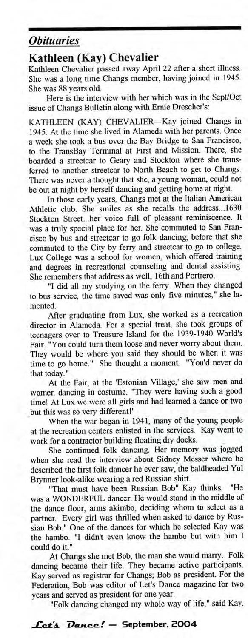## *Obituaries*

## **Kathleen (Kay) Chevalier**

Kathleen Chevalier passed away April 22 after a short illness. She was a long time Changs member, having joined in 1945. She was 88 years old.

Here is the interview with her which was in the Sept/Oct issue of Changs Bulletin along with Ernie Drescher's:

KATHLEEN (KAY) CHEVALIER—Kay joined Changs in 1945. At the time she lived in Alameda with her parents. Once a week she took a bus over the Bay Bridge to San Francisco, to the TransBay Terminal at First and Mission. There, she boarded a streetcar to Geary and Stockton where she transferred to another streetcar to North Beach to get to Changs. There was never a thought that she, a young woman, could not be out at night by herself dancing and getting home at night.

In those early years, Changs met at the Italian American Athletic club. She smiles as she recalls the address...1630 Stockton Street...her voice full of pleasant reminiscence. It was a truly special place for her. She commuted to San Francisco by bus and streetcar to go folk dancing; before that she commuted to the City by ferry and streetcar to go to college. Lux College was a school for women, which offered training and degrees in recreational counseling and dental assisting. She remembers that address as well, 16th and Portrero.

"I did all my studying on the ferry. When they changed to bus service, the time saved was only five minutes," she lamented.

After graduating from Lux, she worked as a recreation director in Alameda. For a special treat, she took groups of teenagers over to Treasure Island for the 1939-1940 World's Fair. "You could turn them loose and never worry about them. They would be where you said they should be when it was time to go home." She thought a moment. "You'd never do that today."

At the Fair, at the 'Estonian Village,' she saw men and women dancing in costume. "They were having such a good time! At Lux we were all girls and had learned a dance or two but this was so very different!"

When the war began in 1941, many of the young people at the recreation centers enlisted in the services. Kay went to work for a contractor building floating dry docks.

She continued folk dancing. Her memory was jogged when she read the interview about Sidney Messer where he described the first folk dancer he ever saw, the baldheaded Yul Brynner look-alike wearing a red Russian shirt.

"That must have been Russian Bob" Kay thinks. "He was a WONDERFUL dancer. He would stand in the middle of the dance floor, arms akimbo, deciding whom to select as a partner. Every girl was thrilled when asked to dance by Russian Bob." One of the dances for which he selected Kay was the hambo. "I didn't even know the hambo but with him I could do it."

At Changs she met Bob, the man she would marry. Folk dancing became their life. They became active participants. Kay served as registrar for Changs; Bob as president. For the Federation, Bob was editor of Let's Dance magazine for two years and served as president for one year.

"Folk dancing changed my whole way of life," said Kay.

## **! — September, 2OO4**